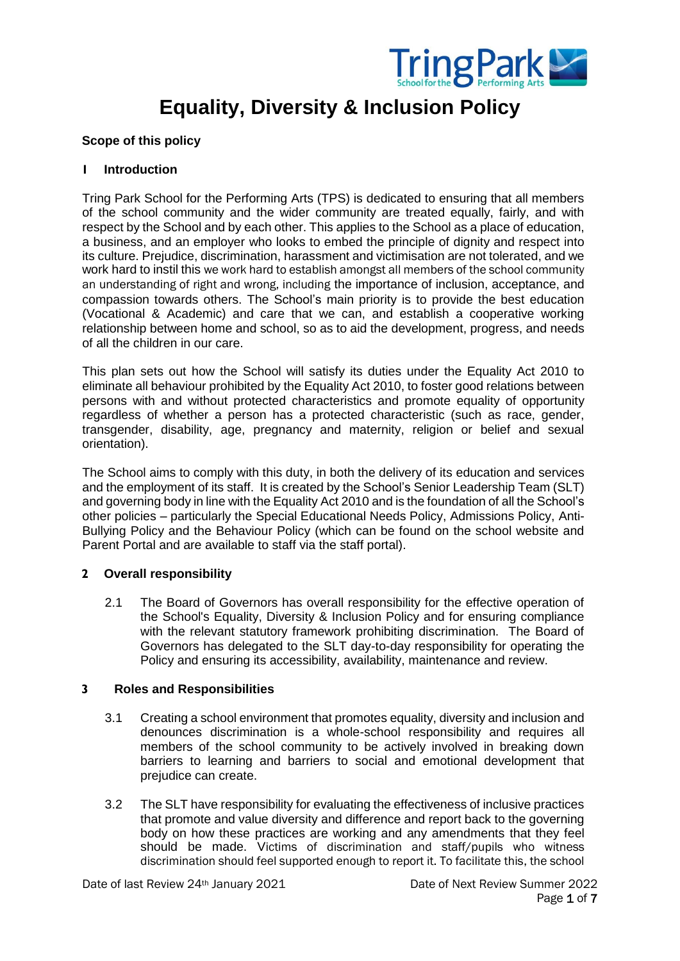

# **Equality, Diversity & Inclusion Policy**

## **Scope of this policy**

#### **1 Introduction**

Tring Park School for the Performing Arts (TPS) is dedicated to ensuring that all members of the school community and the wider community are treated equally, fairly, and with respect by the School and by each other. This applies to the School as a place of education, a business, and an employer who looks to embed the principle of dignity and respect into its culture. Prejudice, discrimination, harassment and victimisation are not tolerated, and we work hard to instil this we work hard to establish amongst all members of the school community an understanding of right and wrong, including the importance of inclusion, acceptance, and compassion towards others. The School's main priority is to provide the best education (Vocational & Academic) and care that we can, and establish a cooperative working relationship between home and school, so as to aid the development, progress, and needs of all the children in our care.

This plan sets out how the School will satisfy its duties under the Equality Act 2010 to eliminate all behaviour prohibited by the Equality Act 2010, to foster good relations between persons with and without protected characteristics and promote equality of opportunity regardless of whether a person has a protected characteristic (such as race, gender, transgender, disability, age, pregnancy and maternity, religion or belief and sexual orientation).

The School aims to comply with this duty, in both the delivery of its education and services and the employment of its staff. It is created by the School's Senior Leadership Team (SLT) and governing body in line with the Equality Act 2010 and is the foundation of all the School's other policies – particularly the Special Educational Needs Policy, Admissions Policy, Anti-Bullying Policy and the Behaviour Policy (which can be found on the school website and Parent Portal and are available to staff via the staff portal).

#### **2 Overall responsibility**

2.1 The Board of Governors has overall responsibility for the effective operation of the School's Equality, Diversity & Inclusion Policy and for ensuring compliance with the relevant statutory framework prohibiting discrimination. The Board of Governors has delegated to the SLT day-to-day responsibility for operating the Policy and ensuring its accessibility, availability, maintenance and review.

#### **3 Roles and Responsibilities**

- 3.1 Creating a school environment that promotes equality, diversity and inclusion and denounces discrimination is a whole-school responsibility and requires all members of the school community to be actively involved in breaking down barriers to learning and barriers to social and emotional development that prejudice can create.
- 3.2 The SLT have responsibility for evaluating the effectiveness of inclusive practices that promote and value diversity and difference and report back to the governing body on how these practices are working and any amendments that they feel should be made. Victims of discrimination and staff/pupils who witness discrimination should feel supported enough to report it. To facilitate this, the school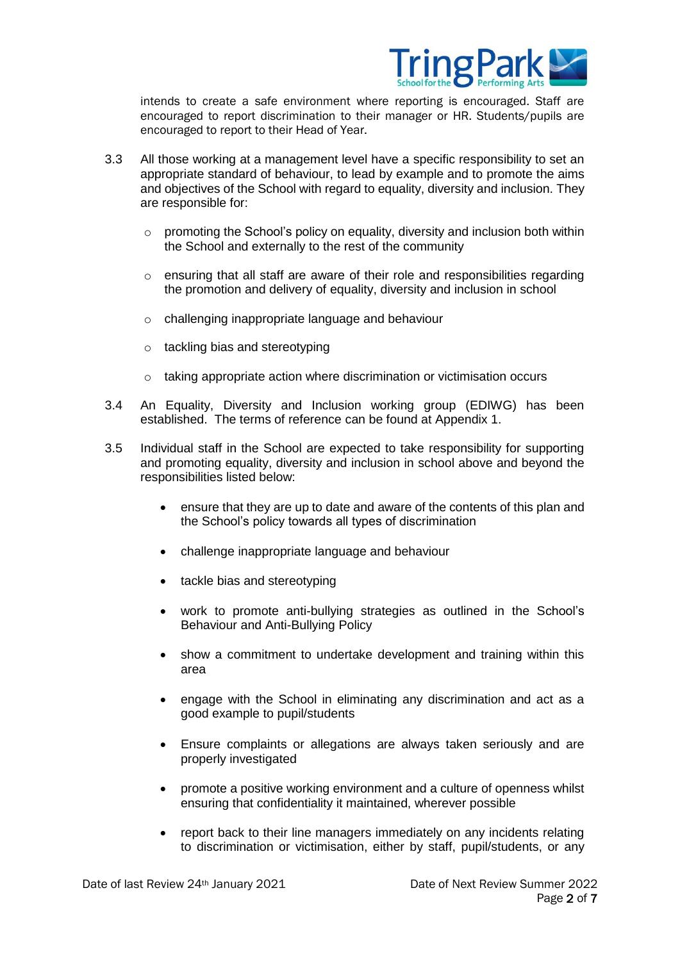

intends to create a safe environment where reporting is encouraged. Staff are encouraged to report discrimination to their manager or HR. Students/pupils are encouraged to report to their Head of Year.

- 3.3 All those working at a management level have a specific responsibility to set an appropriate standard of behaviour, to lead by example and to promote the aims and objectives of the School with regard to equality, diversity and inclusion. They are responsible for:
	- $\circ$  promoting the School's policy on equality, diversity and inclusion both within the School and externally to the rest of the community
	- $\circ$  ensuring that all staff are aware of their role and responsibilities regarding the promotion and delivery of equality, diversity and inclusion in school
	- o challenging inappropriate language and behaviour
	- o tackling bias and stereotyping
	- o taking appropriate action where discrimination or victimisation occurs
- 3.4 An Equality, Diversity and Inclusion working group (EDIWG) has been established. The terms of reference can be found at Appendix 1.
- 3.5 Individual staff in the School are expected to take responsibility for supporting and promoting equality, diversity and inclusion in school above and beyond the responsibilities listed below:
	- ensure that they are up to date and aware of the contents of this plan and the School's policy towards all types of discrimination
	- challenge inappropriate language and behaviour
	- tackle bias and stereotyping
	- work to promote anti-bullying strategies as outlined in the School's Behaviour and Anti-Bullying Policy
	- show a commitment to undertake development and training within this area
	- engage with the School in eliminating any discrimination and act as a good example to pupil/students
	- Ensure complaints or allegations are always taken seriously and are properly investigated
	- promote a positive working environment and a culture of openness whilst ensuring that confidentiality it maintained, wherever possible
	- report back to their line managers immediately on any incidents relating to discrimination or victimisation, either by staff, pupil/students, or any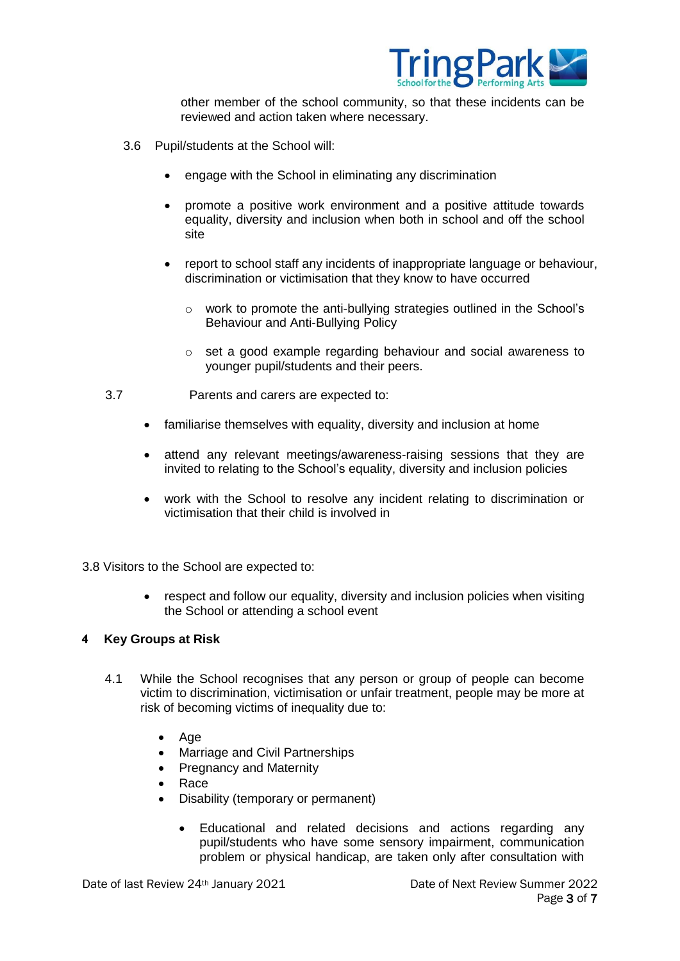

other member of the school community, so that these incidents can be reviewed and action taken where necessary.

- 3.6 Pupil/students at the School will:
	- engage with the School in eliminating any discrimination
	- promote a positive work environment and a positive attitude towards equality, diversity and inclusion when both in school and off the school site
	- report to school staff any incidents of inappropriate language or behaviour, discrimination or victimisation that they know to have occurred
		- o work to promote the anti-bullying strategies outlined in the School's Behaviour and Anti-Bullying Policy
		- o set a good example regarding behaviour and social awareness to younger pupil/students and their peers.
- 3.7 Parents and carers are expected to:
	- familiarise themselves with equality, diversity and inclusion at home
	- attend any relevant meetings/awareness-raising sessions that they are invited to relating to the School's equality, diversity and inclusion policies
	- work with the School to resolve any incident relating to discrimination or victimisation that their child is involved in

3.8 Visitors to the School are expected to:

 respect and follow our equality, diversity and inclusion policies when visiting the School or attending a school event

#### **4 Key Groups at Risk**

- 4.1 While the School recognises that any person or group of people can become victim to discrimination, victimisation or unfair treatment, people may be more at risk of becoming victims of inequality due to:
	- Age
	- Marriage and Civil Partnerships
	- Pregnancy and Maternity
	- Race
	- Disability (temporary or permanent)
		- Educational and related decisions and actions regarding any pupil/students who have some sensory impairment, communication problem or physical handicap, are taken only after consultation with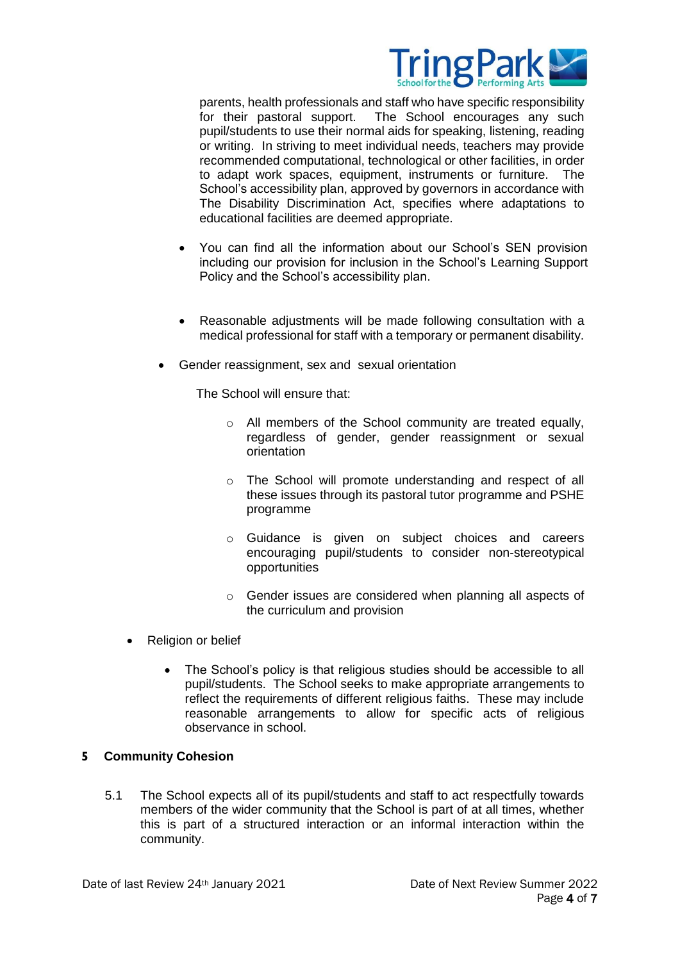

parents, health professionals and staff who have specific responsibility for their pastoral support. The School encourages any such pupil/students to use their normal aids for speaking, listening, reading or writing. In striving to meet individual needs, teachers may provide recommended computational, technological or other facilities, in order to adapt work spaces, equipment, instruments or furniture. The School's accessibility plan, approved by governors in accordance with The Disability Discrimination Act, specifies where adaptations to educational facilities are deemed appropriate.

- You can find all the information about our School's SEN provision including our provision for inclusion in the School's Learning Support Policy and the School's accessibility plan.
- Reasonable adjustments will be made following consultation with a medical professional for staff with a temporary or permanent disability.
- Gender reassignment, sex and sexual orientation

The School will ensure that:

- o All members of the School community are treated equally, regardless of gender, gender reassignment or sexual orientation
- o The School will promote understanding and respect of all these issues through its pastoral tutor programme and PSHE programme
- o Guidance is given on subject choices and careers encouraging pupil/students to consider non-stereotypical opportunities
- o Gender issues are considered when planning all aspects of the curriculum and provision
- Religion or belief
	- The School's policy is that religious studies should be accessible to all pupil/students. The School seeks to make appropriate arrangements to reflect the requirements of different religious faiths. These may include reasonable arrangements to allow for specific acts of religious observance in school.

#### **5 Community Cohesion**

5.1 The School expects all of its pupil/students and staff to act respectfully towards members of the wider community that the School is part of at all times, whether this is part of a structured interaction or an informal interaction within the community.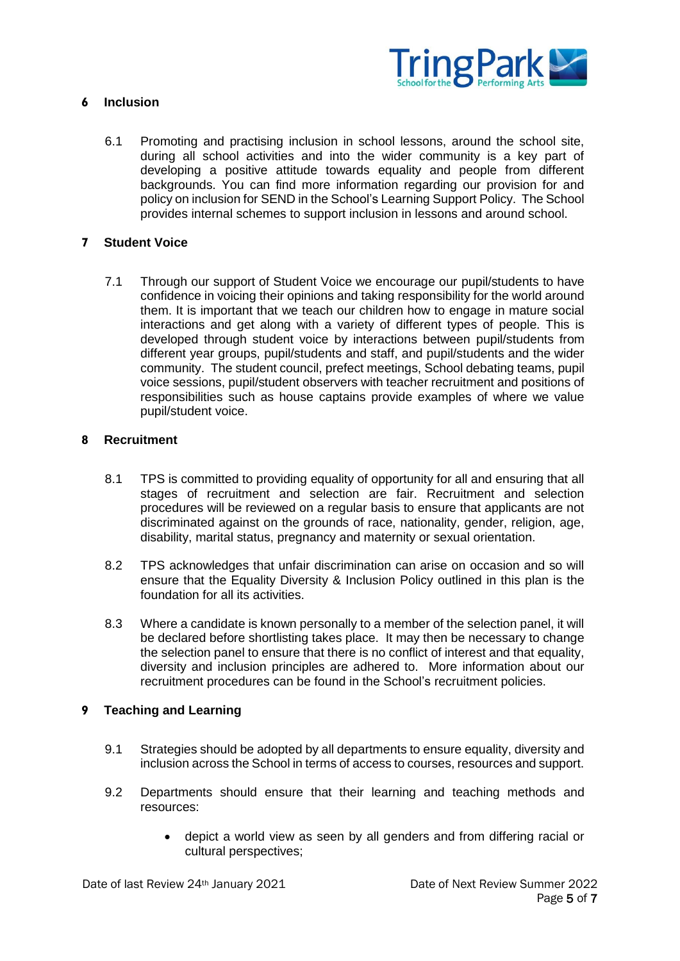

## **6 Inclusion**

6.1 Promoting and practising inclusion in school lessons, around the school site, during all school activities and into the wider community is a key part of developing a positive attitude towards equality and people from different backgrounds. You can find more information regarding our provision for and policy on inclusion for SEND in the School's Learning Support Policy. The School provides internal schemes to support inclusion in lessons and around school.

#### **7 Student Voice**

7.1 Through our support of Student Voice we encourage our pupil/students to have confidence in voicing their opinions and taking responsibility for the world around them. It is important that we teach our children how to engage in mature social interactions and get along with a variety of different types of people. This is developed through student voice by interactions between pupil/students from different year groups, pupil/students and staff, and pupil/students and the wider community. The student council, prefect meetings, School debating teams, pupil voice sessions, pupil/student observers with teacher recruitment and positions of responsibilities such as house captains provide examples of where we value pupil/student voice.

#### **8 Recruitment**

- 8.1 TPS is committed to providing equality of opportunity for all and ensuring that all stages of recruitment and selection are fair. Recruitment and selection procedures will be reviewed on a regular basis to ensure that applicants are not discriminated against on the grounds of race, nationality, gender, religion, age, disability, marital status, pregnancy and maternity or sexual orientation.
- 8.2 TPS acknowledges that unfair discrimination can arise on occasion and so will ensure that the Equality Diversity & Inclusion Policy outlined in this plan is the foundation for all its activities.
- 8.3 Where a candidate is known personally to a member of the selection panel, it will be declared before shortlisting takes place. It may then be necessary to change the selection panel to ensure that there is no conflict of interest and that equality, diversity and inclusion principles are adhered to. More information about our recruitment procedures can be found in the School's recruitment policies.

#### **9 Teaching and Learning**

- 9.1 Strategies should be adopted by all departments to ensure equality, diversity and inclusion across the School in terms of access to courses, resources and support.
- 9.2 Departments should ensure that their learning and teaching methods and resources:
	- depict a world view as seen by all genders and from differing racial or cultural perspectives;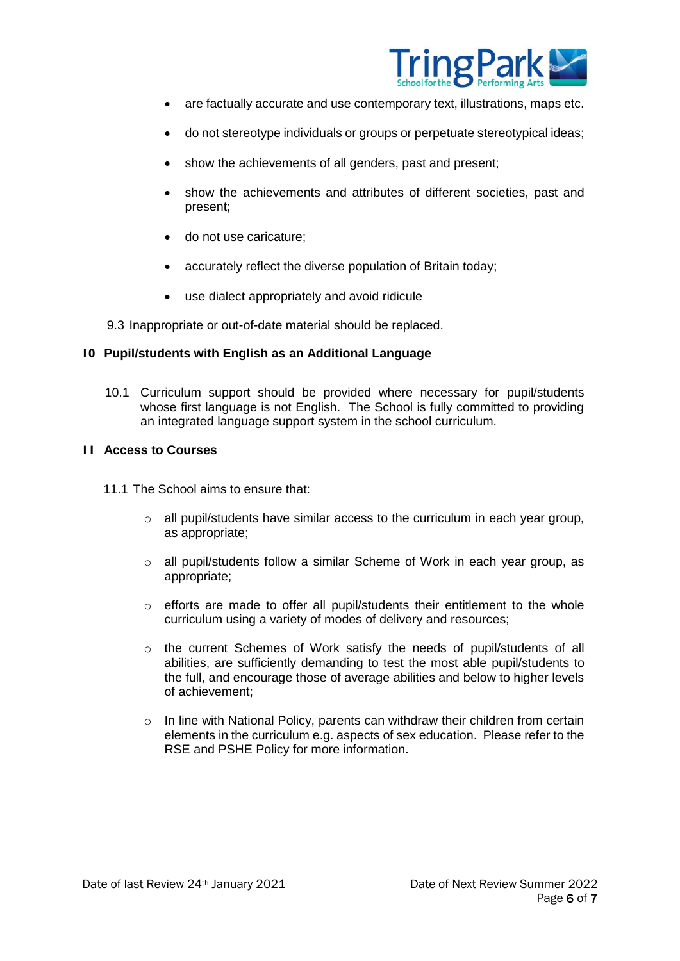

- are factually accurate and use contemporary text, illustrations, maps etc.
- do not stereotype individuals or groups or perpetuate stereotypical ideas;
- show the achievements of all genders, past and present;
- show the achievements and attributes of different societies, past and present;
- do not use caricature:
- accurately reflect the diverse population of Britain today;
- use dialect appropriately and avoid ridicule

9.3 Inappropriate or out-of-date material should be replaced.

#### **10 Pupil/students with English as an Additional Language**

10.1 Curriculum support should be provided where necessary for pupil/students whose first language is not English. The School is fully committed to providing an integrated language support system in the school curriculum.

#### **11 Access to Courses**

- 11.1 The School aims to ensure that:
	- $\circ$  all pupil/students have similar access to the curriculum in each year group, as appropriate;
	- o all pupil/students follow a similar Scheme of Work in each year group, as appropriate;
	- o efforts are made to offer all pupil/students their entitlement to the whole curriculum using a variety of modes of delivery and resources;
	- o the current Schemes of Work satisfy the needs of pupil/students of all abilities, are sufficiently demanding to test the most able pupil/students to the full, and encourage those of average abilities and below to higher levels of achievement;
	- $\circ$  In line with National Policy, parents can withdraw their children from certain elements in the curriculum e.g. aspects of sex education. Please refer to the RSE and PSHE Policy for more information.